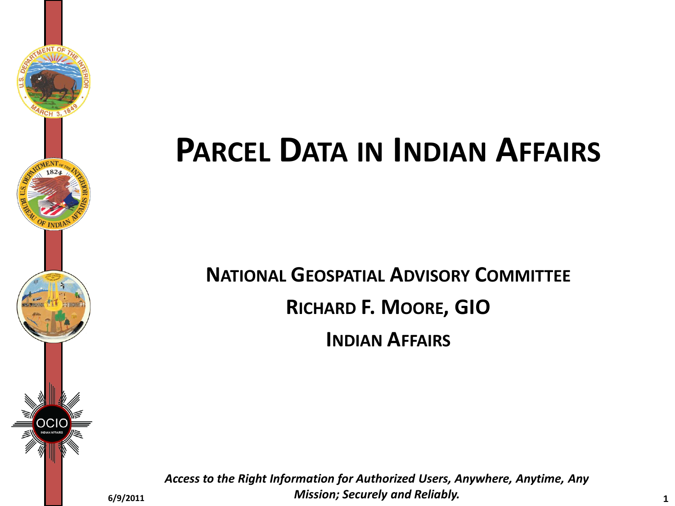

# **PARCEL DATA IN INDIAN AFFAIRS**

**NATIONAL GEOSPATIAL ADVISORY COMMITTEE RICHARD F. MOORE, GIO INDIAN AFFAIRS**

*Access to the Right Information for Authorized Users, Anywhere, Anytime, Any Mission; Securely and Reliably.* **6/9/2011 <sup>1</sup>**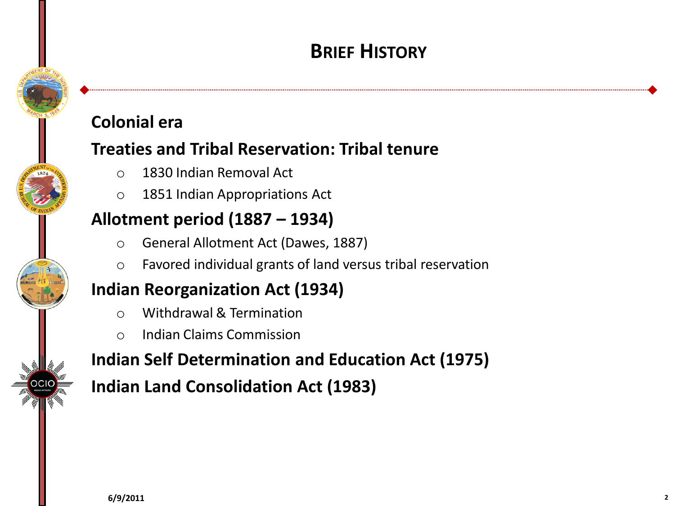## **BRIEF HISTORY**

## **Colonial era**

### **Treaties and Tribal Reservation: Tribal tenure**

- o 1830 Indian Removal Act
- o 1851 Indian Appropriations Act

### **Allotment period (1887 – 1934)**

- o General Allotment Act (Dawes, 1887)
- o Favored individual grants of land versus tribal reservation

## **Indian Reorganization Act (1934)**

- o Withdrawal & Termination
- o Indian Claims Commission

## **Indian Self Determination and Education Act (1975)**

**Indian Land Consolidation Act (1983)**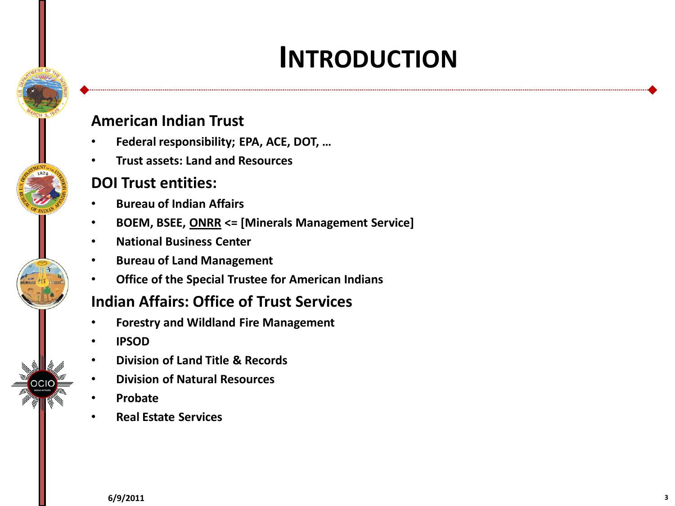## **INTRODUCTION**

#### **American Indian Trust**

- **Federal responsibility; EPA, ACE, DOT, …**
- **Trust assets: Land and Resources**

#### **DOI Trust entities:**

- **Bureau of Indian Affairs**
- **BOEM, BSEE, ONRR <= [Minerals Management Service]**
- **National Business Center**
- **Bureau of Land Management**
- **Office of the Special Trustee for American Indians**

#### **Indian Affairs: Office of Trust Services**

- **Forestry and Wildland Fire Management**
- **IPSOD**
- **Division of Land Title & Records**
- **Division of Natural Resources**
- **Probate**
- **Real Estate Services**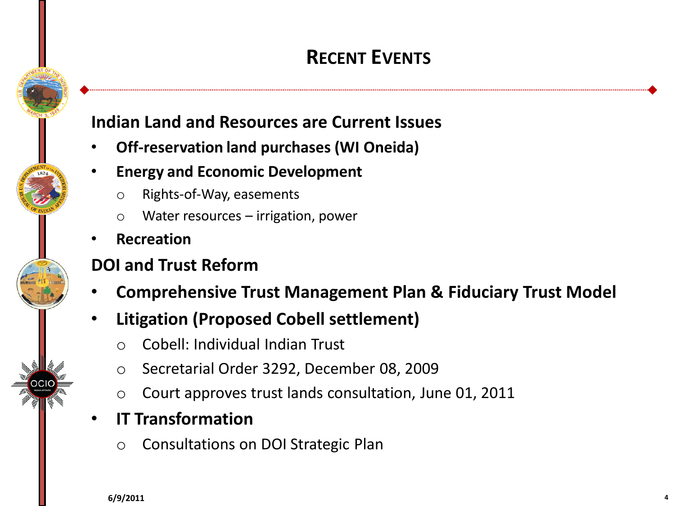## **RECENT EVENTS**

### **Indian Land and Resources are Current Issues**

- **Off-reservation land purchases (WI Oneida)**
- **Energy and Economic Development**
	- o Rights-of-Way, easements
	- o Water resources irrigation, power
- **Recreation**

### **DOI and Trust Reform**

- **Comprehensive Trust Management Plan & Fiduciary Trust Model**
- **Litigation (Proposed Cobell settlement)**
	- o Cobell: Individual Indian Trust
	- o Secretarial Order 3292, December 08, 2009
	- o Court approves trust lands consultation, June 01, 2011
- **IT Transformation**
	- o Consultations on DOI Strategic Plan